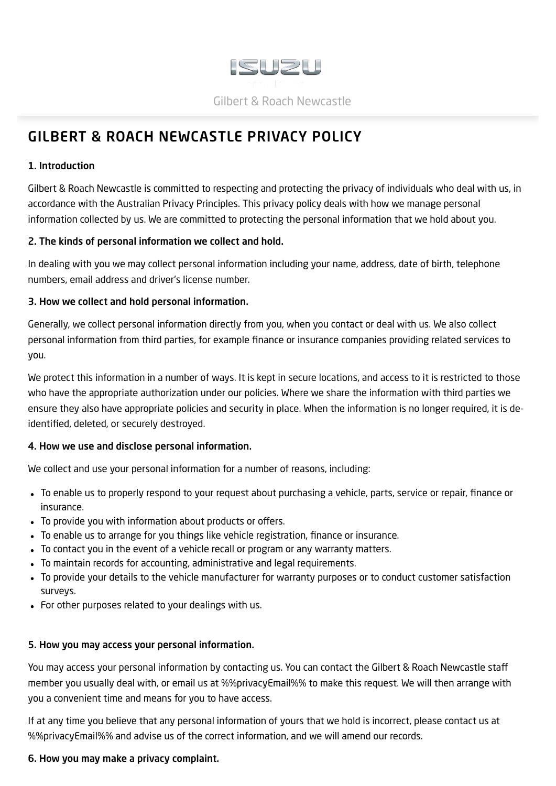

## <span id="page-0-0"></span>GILBERT & ROACH NEWCASTLE PRIVACY POLICY

## 1. Introduction

Gilbert & Roach Newcastle is committed to respecting and protecting the privacy of individuals who deal with us, in accordance with the Australian Privacy Principles. This privacy policy deals with how we manage personal information collected by us. We are committed to protecting the personal information that we hold about you.

#### 2. The kinds of personal information we collect and hold.

In dealing with you we may collect personal information including your name, address, date of birth, telephone numbers, email address and driver's license number.

## 3. How we collect and hold personal information.

Generally, we collect personal information directly from you, when you contact or deal with us. We also collect personal information from third parties, for example finance or insurance companies providing related services to you.

We protect this information in a number of ways. It is kept in secure locations, and access to it is restricted to those who have the appropriate authorization under our policies. Where we share the information with third parties we ensure they also have appropriate policies and security in place. When the information is no longer required, it is deidentified, deleted, or securely destroyed.

#### 4. How we use and disclose personal information.

We collect and use your personal information for a number of reasons, including:

- To enable us to properly respond to your request about purchasing a vehicle, parts, service or repair, finance or insurance.
- To provide you with information about products or offers.
- To enable us to arrange for you things like vehicle registration, finance or insurance.
- To contact you in the event of a vehicle recall or program or any warranty matters.
- To maintain records for accounting, administrative and legal requirements.
- To provide your details to the vehicle manufacturer for warranty purposes or to conduct customer satisfaction surveys.
- For other purposes related to your dealings with us.

## 5. How you may access your personal information.

You may access your personal information by contacting us. You can contact the Gilbert & Roach Newcastle staff member you usually deal with, or email us at %%privacyEmail%% to make this request. We will then arrange with you a convenient time and means for you to have access.

If at any time you believe that any personal information of yours that we hold is incorrect, please contact us at %%privacyEmail%% and advise us of the correct information, and we will amend our records.

#### 6. How you may make a privacy complaint.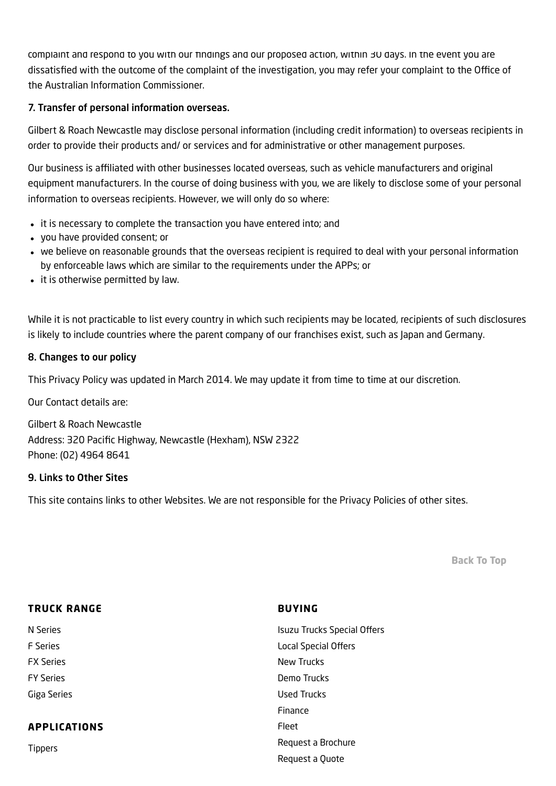complaint and respond to you with our findings and our proposed action, within 30 days. In the event you are dissatisfied with the outcome of the complaint of the investigation, you may refer your complaint to the Office of the Australian Information Commissioner.

## 7. Transfer of personal information overseas.

Gilbert & Roach Newcastle may disclose personal information (including credit information) to overseas recipients in order to provide their products and/ or services and for administrative or other management purposes.

Our business is affiliated with other businesses located overseas, such as vehicle manufacturers and original equipment manufacturers. In the course of doing business with you, we are likely to disclose some of your personal information to overseas recipients. However, we will only do so where:

- it is necessary to complete the transaction you have entered into; and
- you have provided consent; or
- we believe on reasonable grounds that the overseas recipient is required to deal with your personal information by enforceable laws which are similar to the requirements under the APPs; or
- it is otherwise permitted by law.

While it is not practicable to list every country in which such recipients may be located, recipients of such disclosures is likely to include countries where the parent company of our franchises exist, such as Japan and Germany.

#### 8. Changes to our policy

This Privacy Policy was updated in March 2014. We may update it from time to time at our discretion.

Our Contact details are:

Gilbert & Roach Newcastle Address: 320 Pacific Highway, Newcastle (Hexham), NSW 2322 Phone: (02) 4964 8641

#### 9. Links to Other Sites

This site contains links to other Websites. We are not responsible for the Privacy Policies of other sites.

[Back](#page-0-0) To Top

| <b>TRUCK RANGE</b>  | <b>BUYING</b>                      |
|---------------------|------------------------------------|
| N Series            | <b>Isuzu Trucks Special Offers</b> |
| <b>F</b> Series     | <b>Local Special Offers</b>        |
| <b>FX Series</b>    | New Trucks                         |
| <b>FY Series</b>    | Demo Trucks                        |
| Giga Series         | Used Trucks                        |
|                     | Finance                            |
| <b>APPLICATIONS</b> | Fleet                              |
| <b>Tippers</b>      | Request a Brochure                 |
|                     | Request a Quote                    |